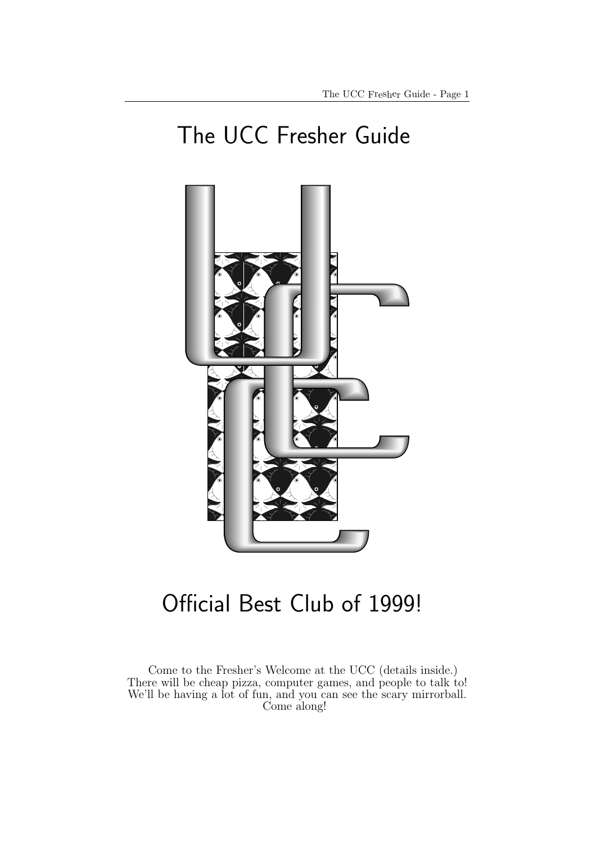# The UCC Fresher Guide



# Official Best Club of 1999!

Come to the Fresher's Welcome at the UCC (details inside.) There will be cheap pizza, computer games, and people to talk to! We'll be having a lot of fun, and you can see the scary mirrorball. Come along!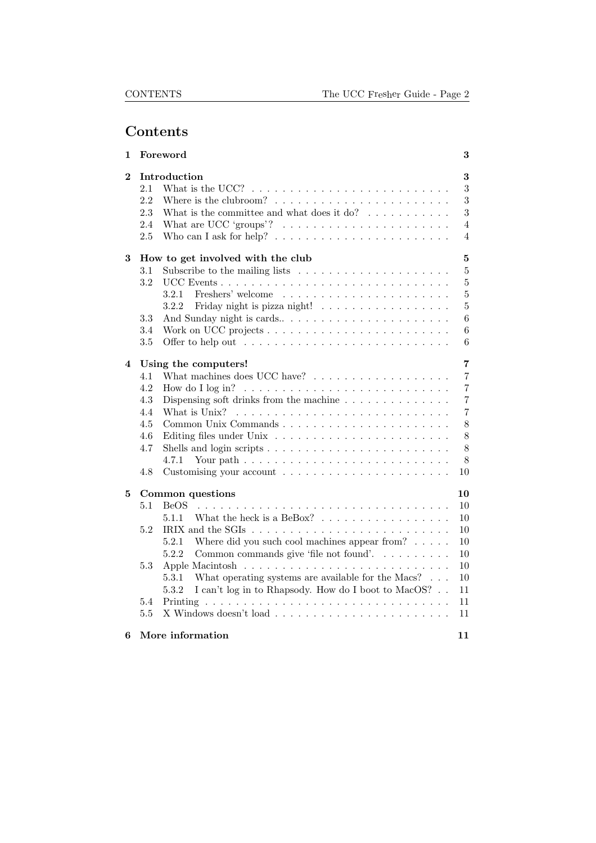# Contents

| 1                       | Foreword                        |                                                                                                                                                                                                                                                                                                                                                                                                                            | 3                          |
|-------------------------|---------------------------------|----------------------------------------------------------------------------------------------------------------------------------------------------------------------------------------------------------------------------------------------------------------------------------------------------------------------------------------------------------------------------------------------------------------------------|----------------------------|
| $\bf{2}$                | 2.1<br>2.2<br>2.3<br>2.4<br>2.5 | Introduction<br>What is the UCC? $\ldots \ldots \ldots \ldots \ldots \ldots \ldots \ldots \ldots$<br>Where is the clubroom? $\ldots \ldots \ldots \ldots \ldots \ldots \ldots \ldots$<br>What is the committee and what does it do? $\ldots \ldots \ldots$<br>What are UCC 'groups'? $\ldots \ldots \ldots \ldots \ldots \ldots \ldots$<br>Who can I ask for help? $\dots \dots \dots \dots \dots \dots \dots \dots \dots$ | 3<br>3<br>3<br>3<br>4<br>4 |
| 3                       |                                 | How to get involved with the club                                                                                                                                                                                                                                                                                                                                                                                          | $\bf{5}$                   |
|                         | 3.1                             | Subscribe to the mailing lists $\dots \dots \dots \dots \dots \dots \dots$                                                                                                                                                                                                                                                                                                                                                 | $\overline{5}$             |
|                         | 3.2                             |                                                                                                                                                                                                                                                                                                                                                                                                                            | $\overline{5}$             |
|                         |                                 | 3.2.1                                                                                                                                                                                                                                                                                                                                                                                                                      | $\overline{5}$             |
|                         |                                 | Friday night is pizza night!<br>3.2.2                                                                                                                                                                                                                                                                                                                                                                                      | $\bf 5$                    |
|                         | $3.3\,$                         | And Sunday night is cards                                                                                                                                                                                                                                                                                                                                                                                                  | $\boldsymbol{6}$           |
|                         | 3.4                             |                                                                                                                                                                                                                                                                                                                                                                                                                            | $6\phantom{.}6$            |
|                         | 3.5                             |                                                                                                                                                                                                                                                                                                                                                                                                                            | $\,6$                      |
| $\overline{\mathbf{4}}$ |                                 | Using the computers!                                                                                                                                                                                                                                                                                                                                                                                                       | $\overline{7}$             |
|                         | 4.1                             | What machines does UCC have? $\ldots \ldots \ldots \ldots \ldots \ldots$                                                                                                                                                                                                                                                                                                                                                   | $\overline{7}$             |
|                         | 4.2                             |                                                                                                                                                                                                                                                                                                                                                                                                                            | $\overline{7}$             |
|                         | 4.3                             | Dispensing soft drinks from the machine $\ldots \ldots \ldots \ldots$                                                                                                                                                                                                                                                                                                                                                      | $\overline{7}$             |
|                         | 4.4                             | What is Unix? $\ldots \ldots \ldots \ldots \ldots \ldots \ldots \ldots \ldots$                                                                                                                                                                                                                                                                                                                                             | $\overline{7}$             |
|                         | 4.5                             |                                                                                                                                                                                                                                                                                                                                                                                                                            | 8                          |
|                         | 4.6                             |                                                                                                                                                                                                                                                                                                                                                                                                                            | 8                          |
|                         | 4.7                             |                                                                                                                                                                                                                                                                                                                                                                                                                            | 8                          |
|                         |                                 | 4.7.1                                                                                                                                                                                                                                                                                                                                                                                                                      | 8                          |
|                         | 4.8                             |                                                                                                                                                                                                                                                                                                                                                                                                                            | 10                         |
| 5                       |                                 | Common questions                                                                                                                                                                                                                                                                                                                                                                                                           | 10                         |
|                         | 5.1                             | BeOS                                                                                                                                                                                                                                                                                                                                                                                                                       | 10                         |
|                         |                                 | 5.1.1                                                                                                                                                                                                                                                                                                                                                                                                                      | 10                         |
|                         | 5.2                             |                                                                                                                                                                                                                                                                                                                                                                                                                            | 10                         |
|                         |                                 | Where did you such cool machines appear from? $\ldots$ .<br>5.2.1                                                                                                                                                                                                                                                                                                                                                          | 10                         |
|                         |                                 | Common commands give 'file not found'.<br>5.2.2                                                                                                                                                                                                                                                                                                                                                                            | 10                         |
|                         | 5.3                             |                                                                                                                                                                                                                                                                                                                                                                                                                            | 10                         |
|                         |                                 | 5.3.1<br>What operating systems are available for the Macs? $\ldots$                                                                                                                                                                                                                                                                                                                                                       | 10                         |
|                         |                                 | I can't log in to Rhapsody. How do I boot to MacOS?<br>5.3.2                                                                                                                                                                                                                                                                                                                                                               | 11                         |
|                         | 5.4                             |                                                                                                                                                                                                                                                                                                                                                                                                                            | 11                         |
|                         | 5.5                             |                                                                                                                                                                                                                                                                                                                                                                                                                            | 11                         |
| 6                       |                                 | More information                                                                                                                                                                                                                                                                                                                                                                                                           | 11                         |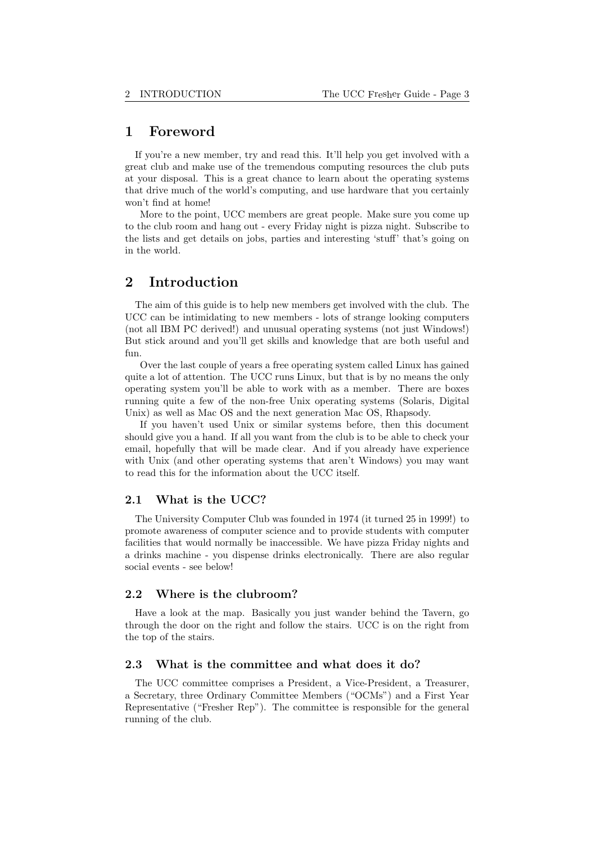# 1 Foreword

If you're a new member, try and read this. It'll help you get involved with a great club and make use of the tremendous computing resources the club puts at your disposal. This is a great chance to learn about the operating systems that drive much of the world's computing, and use hardware that you certainly won't find at home!

More to the point, UCC members are great people. Make sure you come up to the club room and hang out - every Friday night is pizza night. Subscribe to the lists and get details on jobs, parties and interesting 'stuff' that's going on in the world.

# 2 Introduction

The aim of this guide is to help new members get involved with the club. The UCC can be intimidating to new members - lots of strange looking computers (not all IBM PC derived!) and unusual operating systems (not just Windows!) But stick around and you'll get skills and knowledge that are both useful and fun.

Over the last couple of years a free operating system called Linux has gained quite a lot of attention. The UCC runs Linux, but that is by no means the only operating system you'll be able to work with as a member. There are boxes running quite a few of the non-free Unix operating systems (Solaris, Digital Unix) as well as Mac OS and the next generation Mac OS, Rhapsody.

If you haven't used Unix or similar systems before, then this document should give you a hand. If all you want from the club is to be able to check your email, hopefully that will be made clear. And if you already have experience with Unix (and other operating systems that aren't Windows) you may want to read this for the information about the UCC itself.

#### 2.1 What is the UCC?

The University Computer Club was founded in 1974 (it turned 25 in 1999!) to promote awareness of computer science and to provide students with computer facilities that would normally be inaccessible. We have pizza Friday nights and a drinks machine - you dispense drinks electronically. There are also regular social events - see below!

#### 2.2 Where is the clubroom?

Have a look at the map. Basically you just wander behind the Tavern, go through the door on the right and follow the stairs. UCC is on the right from the top of the stairs.

#### 2.3 What is the committee and what does it do?

The UCC committee comprises a President, a Vice-President, a Treasurer, a Secretary, three Ordinary Committee Members ("OCMs") and a First Year Representative ("Fresher Rep"). The committee is responsible for the general running of the club.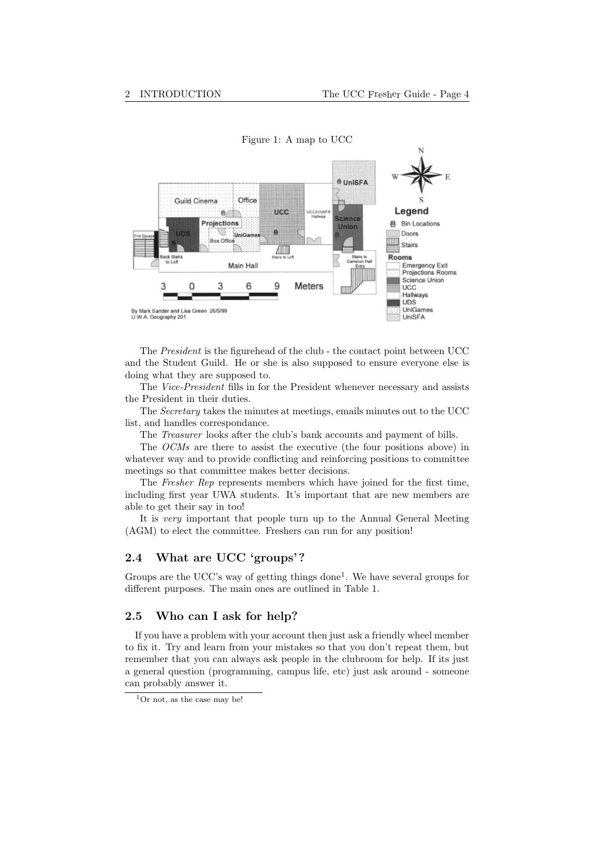

The President is the figurehead of the club - the contact point between UCC and the Student Guild. He or she is also supposed to ensure everyone else is doing what they are supposed to.

The Vice-President fills in for the President whenever necessary and assists the President in their duties.

The Secretary takes the minutes at meetings, emails minutes out to the UCC list, and handles correspondance.

The Treasurer looks after the club's bank accounts and payment of bills.

The OCMs are there to assist the executive (the four positions above) in whatever way and to provide conflicting and reinforcing positions to committee meetings so that committee makes better decisions.

The Fresher Rep represents members which have joined for the first time, including first year UWA students. It's important that are new members are able to get their say in too!

It is very important that people turn up to the Annual General Meeting (AGM) to elect the committee. Freshers can run for any position!

### 2.4 What are UCC 'groups'?

Groups are the UCC's way of getting things done<sup>1</sup>. We have several groups for different purposes. The main ones are outlined in Table 1.

#### 2.5 Who can I ask for help?

If you have a problem with your account then just ask a friendly wheel member to fix it. Try and learn from your mistakes so that you don't repeat them, but remember that you can always ask people in the clubroom for help. If its just a general question (programming, campus life, etc) just ask around - someone can probably answer it.

 $1$ Or not, as the case may be!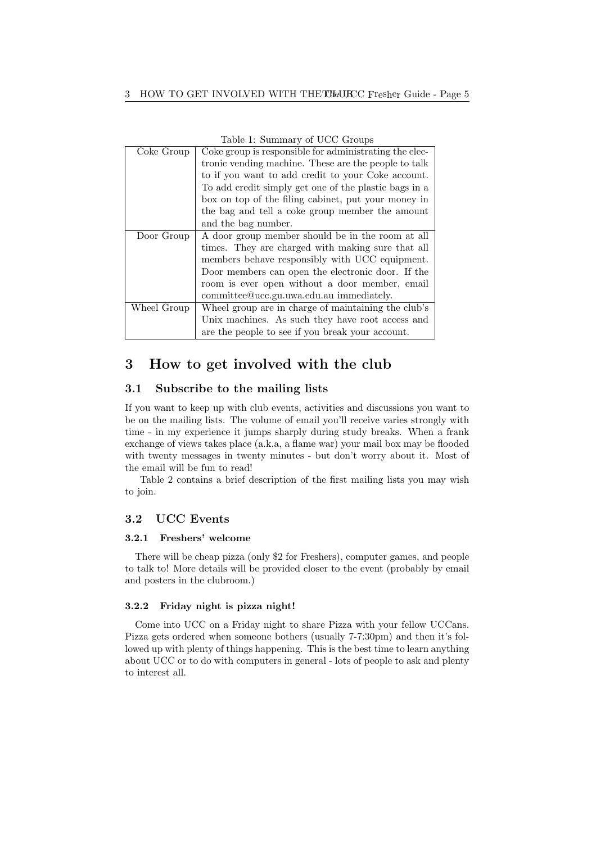| Labit 1. Dummary or UCC Groups |                                                        |  |  |  |  |  |
|--------------------------------|--------------------------------------------------------|--|--|--|--|--|
| Coke Group                     | Coke group is responsible for administrating the elec- |  |  |  |  |  |
|                                | tronic vending machine. These are the people to talk   |  |  |  |  |  |
|                                | to if you want to add credit to your Coke account.     |  |  |  |  |  |
|                                | To add credit simply get one of the plastic bags in a  |  |  |  |  |  |
|                                | box on top of the filing cabinet, put your money in    |  |  |  |  |  |
|                                | the bag and tell a coke group member the amount        |  |  |  |  |  |
|                                | and the bag number.                                    |  |  |  |  |  |
| Door Group                     | A door group member should be in the room at all       |  |  |  |  |  |
|                                | times. They are charged with making sure that all      |  |  |  |  |  |
|                                | members behave responsibly with UCC equipment.         |  |  |  |  |  |
|                                | Door members can open the electronic door. If the      |  |  |  |  |  |
|                                | room is ever open without a door member, email         |  |  |  |  |  |
|                                | committee@ucc.gu.uwa.edu.au immediately.               |  |  |  |  |  |
| Wheel Group                    | Wheel group are in charge of maintaining the club's    |  |  |  |  |  |
|                                | Unix machines. As such they have root access and       |  |  |  |  |  |
|                                | are the people to see if you break your account.       |  |  |  |  |  |

Table 1: Summary of UCC Groups

# 3 How to get involved with the club

## 3.1 Subscribe to the mailing lists

If you want to keep up with club events, activities and discussions you want to be on the mailing lists. The volume of email you'll receive varies strongly with time - in my experience it jumps sharply during study breaks. When a frank exchange of views takes place (a.k.a, a flame war) your mail box may be flooded with twenty messages in twenty minutes - but don't worry about it. Most of the email will be fun to read!

Table 2 contains a brief description of the first mailing lists you may wish to join.

# 3.2 UCC Events

#### 3.2.1 Freshers' welcome

There will be cheap pizza (only \$2 for Freshers), computer games, and people to talk to! More details will be provided closer to the event (probably by email and posters in the clubroom.)

#### 3.2.2 Friday night is pizza night!

Come into UCC on a Friday night to share Pizza with your fellow UCCans. Pizza gets ordered when someone bothers (usually 7-7:30pm) and then it's followed up with plenty of things happening. This is the best time to learn anything about UCC or to do with computers in general - lots of people to ask and plenty to interest all.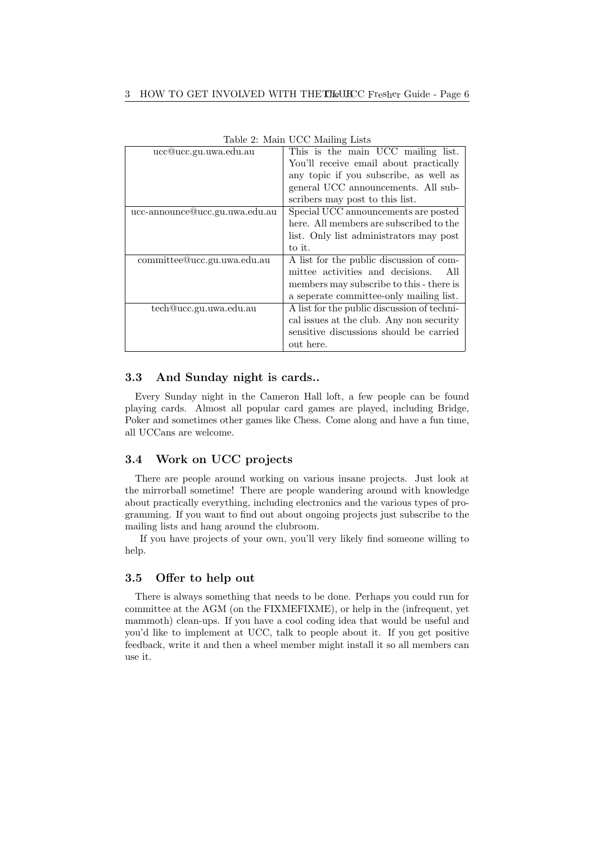| $\text{r}$ and $\text{r}$ are $\text{r}$ and $\text{r}$ and $\text{r}$ and $\text{r}$ and $\text{r}$ and $\text{r}$ and $\text{r}$ and $\text{r}$ and $\text{r}$ and $\text{r}$ and $\text{r}$ and $\text{r}$ and $\text{r}$ and $\text{r}$ and $\text{r}$ and $\text{r}$ and $\text{r$ |  |  |  |
|-----------------------------------------------------------------------------------------------------------------------------------------------------------------------------------------------------------------------------------------------------------------------------------------|--|--|--|
| This is the main UCC mailing list.                                                                                                                                                                                                                                                      |  |  |  |
| You'll receive email about practically                                                                                                                                                                                                                                                  |  |  |  |
| any topic if you subscribe, as well as                                                                                                                                                                                                                                                  |  |  |  |
| general UCC announcements. All sub-                                                                                                                                                                                                                                                     |  |  |  |
| scribers may post to this list.                                                                                                                                                                                                                                                         |  |  |  |
| Special UCC announcements are posted                                                                                                                                                                                                                                                    |  |  |  |
| here. All members are subscribed to the                                                                                                                                                                                                                                                 |  |  |  |
| list. Only list administrators may post                                                                                                                                                                                                                                                 |  |  |  |
| to it.                                                                                                                                                                                                                                                                                  |  |  |  |
| A list for the public discussion of com-                                                                                                                                                                                                                                                |  |  |  |
| mittee activities and decisions.<br>All                                                                                                                                                                                                                                                 |  |  |  |
| members may subscribe to this - there is                                                                                                                                                                                                                                                |  |  |  |
| a seperate committee-only mailing list.                                                                                                                                                                                                                                                 |  |  |  |
| A list for the public discussion of techni-                                                                                                                                                                                                                                             |  |  |  |
| cal issues at the club. Any non security                                                                                                                                                                                                                                                |  |  |  |
| sensitive discussions should be carried                                                                                                                                                                                                                                                 |  |  |  |
| out here.                                                                                                                                                                                                                                                                               |  |  |  |
|                                                                                                                                                                                                                                                                                         |  |  |  |

Table 2: Main UCC Mailing Lists

## 3.3 And Sunday night is cards..

Every Sunday night in the Cameron Hall loft, a few people can be found playing cards. Almost all popular card games are played, including Bridge, Poker and sometimes other games like Chess. Come along and have a fun time, all UCCans are welcome.

#### 3.4 Work on UCC projects

There are people around working on various insane projects. Just look at the mirrorball sometime! There are people wandering around with knowledge about practically everything, including electronics and the various types of programming. If you want to find out about ongoing projects just subscribe to the mailing lists and hang around the clubroom.

If you have projects of your own, you'll very likely find someone willing to help.

#### 3.5 Offer to help out

There is always something that needs to be done. Perhaps you could run for committee at the AGM (on the FIXMEFIXME), or help in the (infrequent, yet mammoth) clean-ups. If you have a cool coding idea that would be useful and you'd like to implement at UCC, talk to people about it. If you get positive feedback, write it and then a wheel member might install it so all members can use it.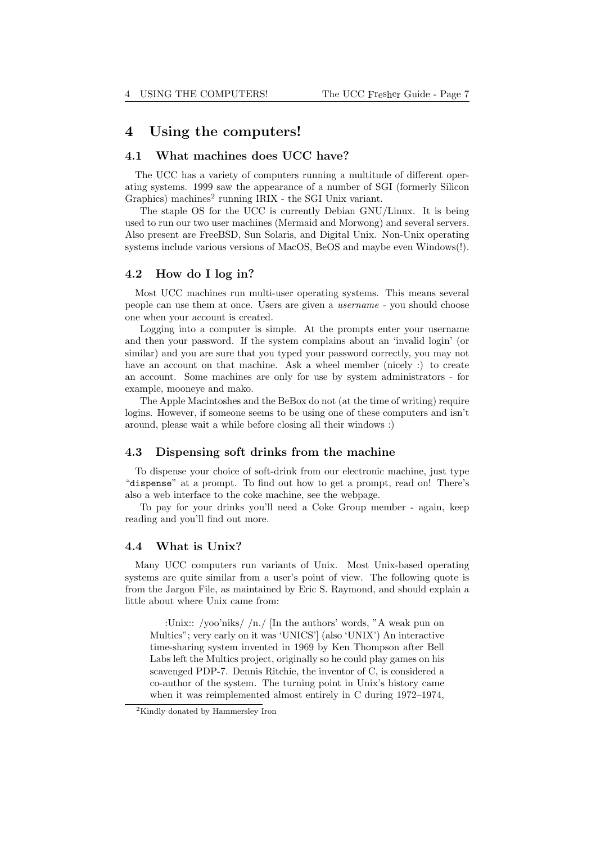# 4 Using the computers!

#### 4.1 What machines does UCC have?

The UCC has a variety of computers running a multitude of different operating systems. 1999 saw the appearance of a number of SGI (formerly Silicon Graphics) machines<sup>2</sup> running IRIX - the SGI Unix variant.

The staple OS for the UCC is currently Debian GNU/Linux. It is being used to run our two user machines (Mermaid and Morwong) and several servers. Also present are FreeBSD, Sun Solaris, and Digital Unix. Non-Unix operating systems include various versions of MacOS, BeOS and maybe even Windows(!).

#### 4.2 How do I log in?

Most UCC machines run multi-user operating systems. This means several people can use them at once. Users are given a username - you should choose one when your account is created.

Logging into a computer is simple. At the prompts enter your username and then your password. If the system complains about an 'invalid login' (or similar) and you are sure that you typed your password correctly, you may not have an account on that machine. Ask a wheel member (nicely :) to create an account. Some machines are only for use by system administrators - for example, mooneye and mako.

The Apple Macintoshes and the BeBox do not (at the time of writing) require logins. However, if someone seems to be using one of these computers and isn't around, please wait a while before closing all their windows :)

#### 4.3 Dispensing soft drinks from the machine

To dispense your choice of soft-drink from our electronic machine, just type "dispense" at a prompt. To find out how to get a prompt, read on! There's also a web interface to the coke machine, see the webpage.

To pay for your drinks you'll need a Coke Group member - again, keep reading and you'll find out more.

#### 4.4 What is Unix?

Many UCC computers run variants of Unix. Most Unix-based operating systems are quite similar from a user's point of view. The following quote is from the Jargon File, as maintained by Eric S. Raymond, and should explain a little about where Unix came from:

:Unix:: /yoo'niks/ /n./ [In the authors' words, "A weak pun on Multics"; very early on it was 'UNICS'] (also 'UNIX') An interactive time-sharing system invented in 1969 by Ken Thompson after Bell Labs left the Multics project, originally so he could play games on his scavenged PDP-7. Dennis Ritchie, the inventor of C, is considered a co-author of the system. The turning point in Unix's history came when it was reimplemented almost entirely in C during 1972–1974,

<sup>2</sup>Kindly donated by Hammersley Iron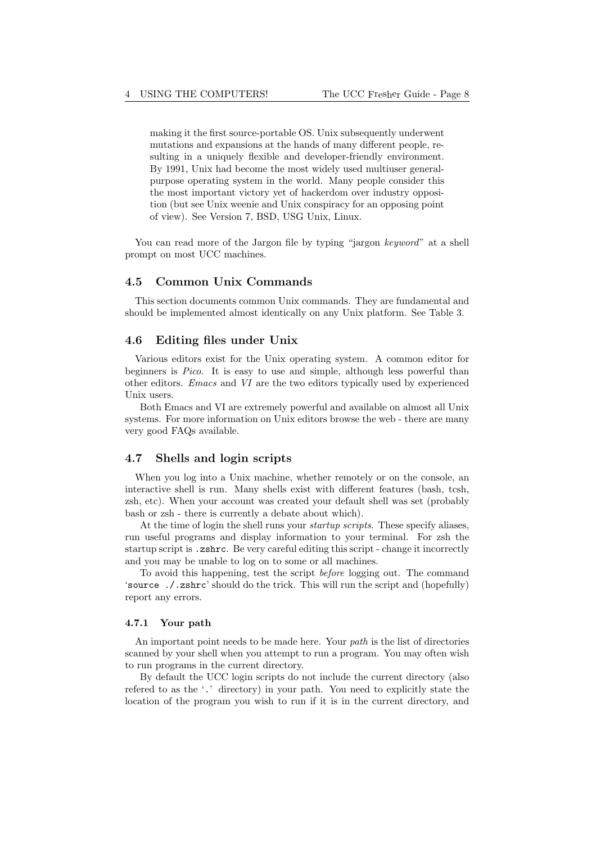making it the first source-portable OS. Unix subsequently underwent mutations and expansions at the hands of many different people, resulting in a uniquely flexible and developer-friendly environment. By 1991, Unix had become the most widely used multiuser generalpurpose operating system in the world. Many people consider this the most important victory yet of hackerdom over industry opposition (but see Unix weenie and Unix conspiracy for an opposing point of view). See Version 7, BSD, USG Unix, Linux.

You can read more of the Jargon file by typing "jargon keyword" at a shell prompt on most UCC machines.

#### 4.5 Common Unix Commands

This section documents common Unix commands. They are fundamental and should be implemented almost identically on any Unix platform. See Table 3.

#### 4.6 Editing files under Unix

Various editors exist for the Unix operating system. A common editor for beginners is Pico. It is easy to use and simple, although less powerful than other editors. Emacs and VI are the two editors typically used by experienced Unix users.

Both Emacs and VI are extremely powerful and available on almost all Unix systems. For more information on Unix editors browse the web - there are many very good FAQs available.

#### 4.7 Shells and login scripts

When you log into a Unix machine, whether remotely or on the console, an interactive shell is run. Many shells exist with different features (bash, tcsh, zsh, etc). When your account was created your default shell was set (probably bash or zsh - there is currently a debate about which).

At the time of login the shell runs your *startup scripts*. These specify aliases, run useful programs and display information to your terminal. For zsh the startup script is .zshrc. Be very careful editing this script - change it incorrectly and you may be unable to log on to some or all machines.

To avoid this happening, test the script before logging out. The command 'source ./.zshrc' should do the trick. This will run the script and (hopefully) report any errors.

#### 4.7.1 Your path

An important point needs to be made here. Your *path* is the list of directories scanned by your shell when you attempt to run a program. You may often wish to run programs in the current directory.

By default the UCC login scripts do not include the current directory (also refered to as the '.' directory) in your path. You need to explicitly state the location of the program you wish to run if it is in the current directory, and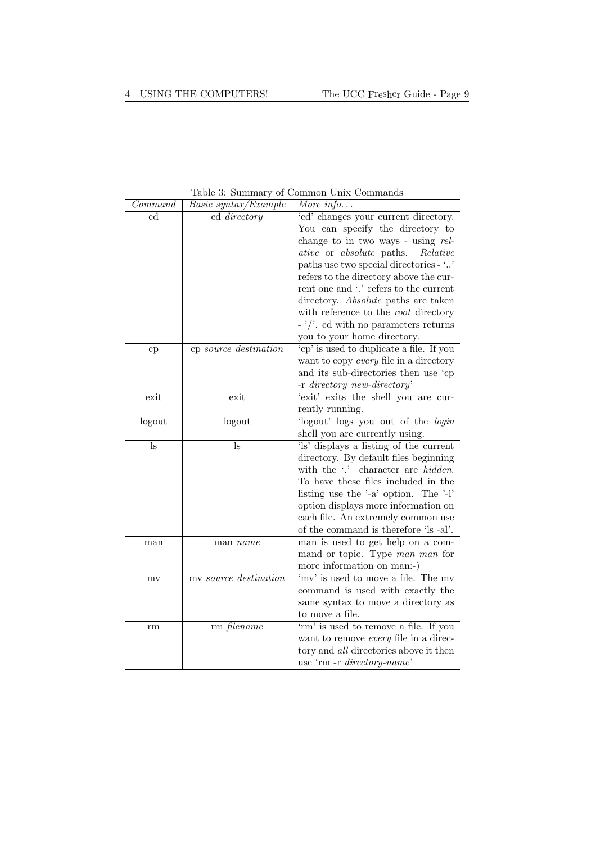$\mathsf{r}$ 

| Command | <i>Basic syntax/Example</i> | More info                                             |
|---------|-----------------------------|-------------------------------------------------------|
| cd      | cd directory                | 'cd' changes your current directory.                  |
|         |                             | You can specify the directory to                      |
|         |                             | change to in two ways - using $rel$ -                 |
|         |                             | ative or absolute paths.<br>Relative                  |
|         |                             | paths use two special directories - ''                |
|         |                             | refers to the directory above the cur-                |
|         |                             | rent one and '.' refers to the current                |
|         |                             | directory. Absolute paths are taken                   |
|         |                             | with reference to the root directory                  |
|         |                             | $\frac{1}{2}$ . Cd with no parameters returns         |
|         |                             | you to your home directory.                           |
| cp      | cp source destination       | 'cp' is used to duplicate a file. If you              |
|         |                             | want to copy every file in a directory                |
|         |                             | and its sub-directories then use 'cp                  |
|         |                             | -r directory new-directory'                           |
| exit    | exit                        | 'exit' exits the shell you are cur-                   |
|         |                             | rently running.                                       |
| logout  | logout                      | logout' logs you out of the login                     |
|         |                             | shell you are currently using.                        |
| ls      | ls                          | 'ls' displays a listing of the current                |
|         |                             | directory. By default files beginning                 |
|         |                             | with the '.' character are <i>hidden</i> .            |
|         |                             | To have these files included in the                   |
|         |                             | listing use the $\text{--a}$ option. The $\text{--b}$ |
|         |                             | option displays more information on                   |
|         |                             | each file. An extremely common use                    |
|         |                             | of the command is therefore 'ls -al'.                 |
| man     | man name                    | man is used to get help on a com-                     |
|         |                             | mand or topic. Type man man for                       |
|         |                             | more information on man:-)                            |
| mv      | my source destination       | 'mv' is used to move a file. The mv                   |
|         |                             | command is used with exactly the                      |
|         |                             | same syntax to move a directory as                    |
|         |                             | to move a file.                                       |
| rm      | rm filename                 | 'rm' is used to remove a file. If you                 |
|         |                             | want to remove every file in a direc-                 |
|         |                             | tory and all directories above it then                |
|         |                             | use 'rm -r directory-name'                            |

Table 3: Summary of Common Unix Commands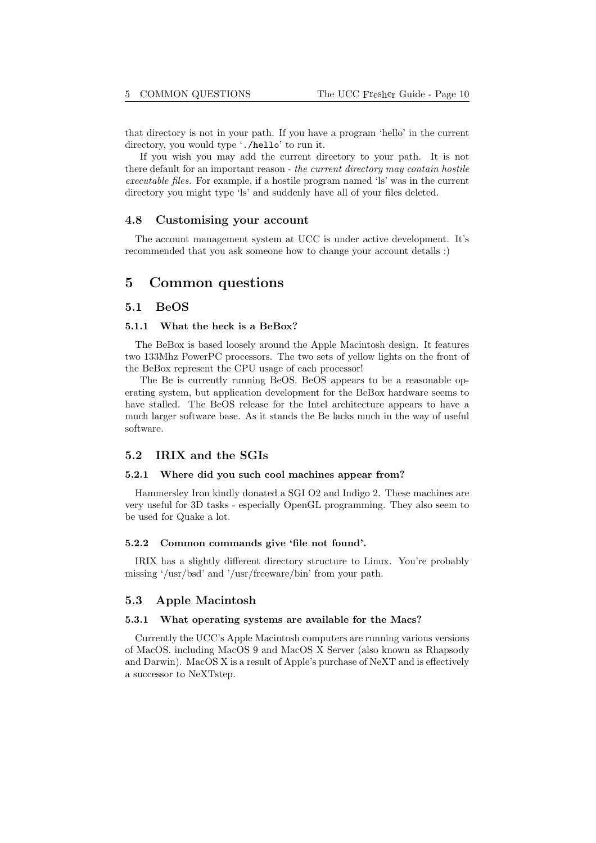that directory is not in your path. If you have a program 'hello' in the current directory, you would type './hello' to run it.

If you wish you may add the current directory to your path. It is not there default for an important reason - the current directory may contain hostile executable files. For example, if a hostile program named 'ls' was in the current directory you might type 'ls' and suddenly have all of your files deleted.

#### 4.8 Customising your account

The account management system at UCC is under active development. It's recommended that you ask someone how to change your account details :)

# 5 Common questions

#### 5.1 BeOS

#### 5.1.1 What the heck is a BeBox?

The BeBox is based loosely around the Apple Macintosh design. It features two 133Mhz PowerPC processors. The two sets of yellow lights on the front of the BeBox represent the CPU usage of each processor!

The Be is currently running BeOS. BeOS appears to be a reasonable operating system, but application development for the BeBox hardware seems to have stalled. The BeOS release for the Intel architecture appears to have a much larger software base. As it stands the Be lacks much in the way of useful software.

#### 5.2 IRIX and the SGIs

#### 5.2.1 Where did you such cool machines appear from?

Hammersley Iron kindly donated a SGI O2 and Indigo 2. These machines are very useful for 3D tasks - especially OpenGL programming. They also seem to be used for Quake a lot.

#### 5.2.2 Common commands give 'file not found'.

IRIX has a slightly different directory structure to Linux. You're probably missing '/usr/bsd' and '/usr/freeware/bin' from your path.

#### 5.3 Apple Macintosh

#### 5.3.1 What operating systems are available for the Macs?

Currently the UCC's Apple Macintosh computers are running various versions of MacOS. including MacOS 9 and MacOS X Server (also known as Rhapsody and Darwin). MacOS X is a result of Apple's purchase of NeXT and is effectively a successor to NeXTstep.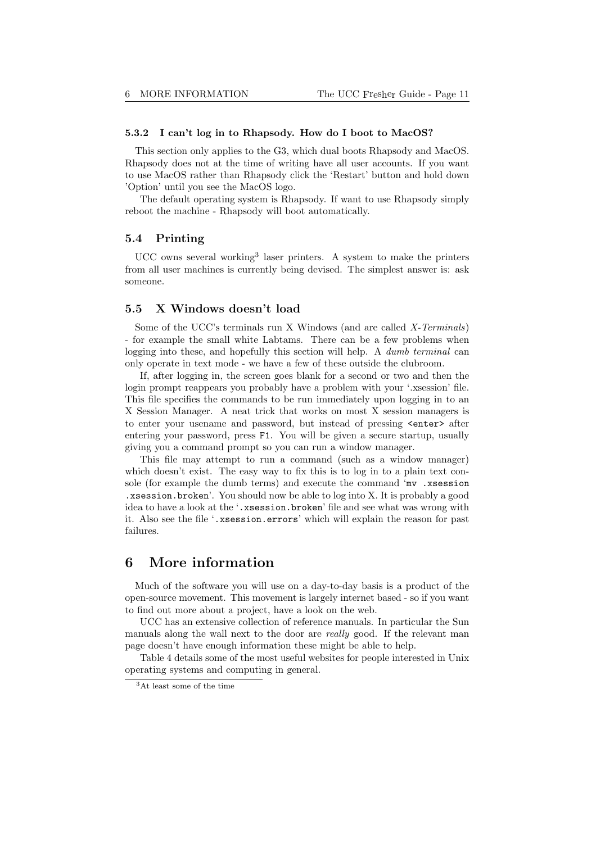#### 5.3.2 I can't log in to Rhapsody. How do I boot to MacOS?

This section only applies to the G3, which dual boots Rhapsody and MacOS. Rhapsody does not at the time of writing have all user accounts. If you want to use MacOS rather than Rhapsody click the 'Restart' button and hold down 'Option' until you see the MacOS logo.

The default operating system is Rhapsody. If want to use Rhapsody simply reboot the machine - Rhapsody will boot automatically.

#### 5.4 Printing

UCC owns several working<sup>3</sup> laser printers. A system to make the printers from all user machines is currently being devised. The simplest answer is: ask someone.

#### 5.5 X Windows doesn't load

Some of the UCC's terminals run X Windows (and are called X-Terminals) - for example the small white Labtams. There can be a few problems when logging into these, and hopefully this section will help. A *dumb terminal* can only operate in text mode - we have a few of these outside the clubroom.

If, after logging in, the screen goes blank for a second or two and then the login prompt reappears you probably have a problem with your '.xsession' file. This file specifies the commands to be run immediately upon logging in to an X Session Manager. A neat trick that works on most X session managers is to enter your usename and password, but instead of pressing  $\leq$ nter> after entering your password, press F1. You will be given a secure startup, usually giving you a command prompt so you can run a window manager.

This file may attempt to run a command (such as a window manager) which doesn't exist. The easy way to fix this is to log in to a plain text console (for example the dumb terms) and execute the command 'mv .xsession .xsession.broken'. You should now be able to log into X. It is probably a good idea to have a look at the '.xsession.broken' file and see what was wrong with it. Also see the file '.xsession.errors' which will explain the reason for past failures.

# 6 More information

Much of the software you will use on a day-to-day basis is a product of the open-source movement. This movement is largely internet based - so if you want to find out more about a project, have a look on the web.

UCC has an extensive collection of reference manuals. In particular the Sun manuals along the wall next to the door are *really* good. If the relevant man page doesn't have enough information these might be able to help.

Table 4 details some of the most useful websites for people interested in Unix operating systems and computing in general.

<sup>3</sup>At least some of the time